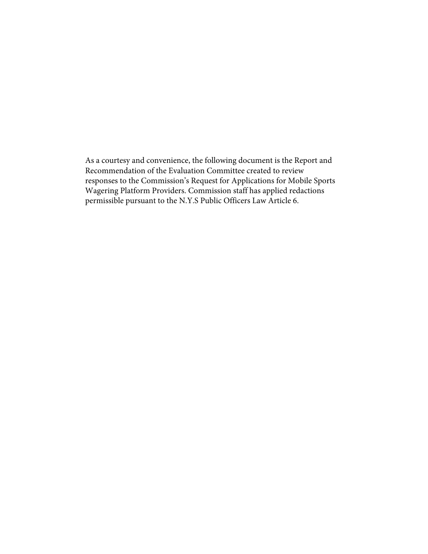As a courtesy and convenience, the following document is the Report and Recommendation of the Evaluation Committee created to review responses to the Commission's Request for Applications for Mobile Sports Wagering Platform Providers. Commission staff has applied redactions permissible pursuant to the N.Y.S Public Officers Law Article 6.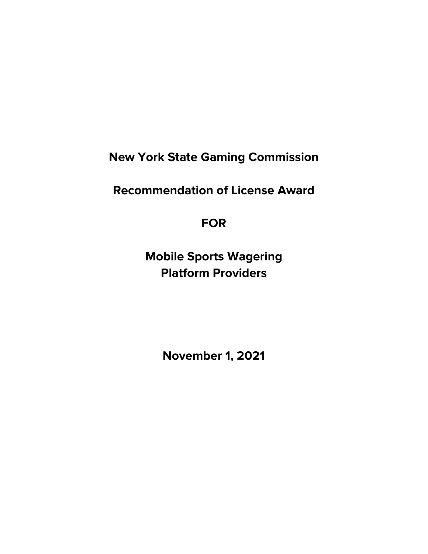**New York State Gaming Commission**

**Recommendation of License Award**

**FOR**

**Mobile Sports Wagering Platform Providers**

**November 1, 2021**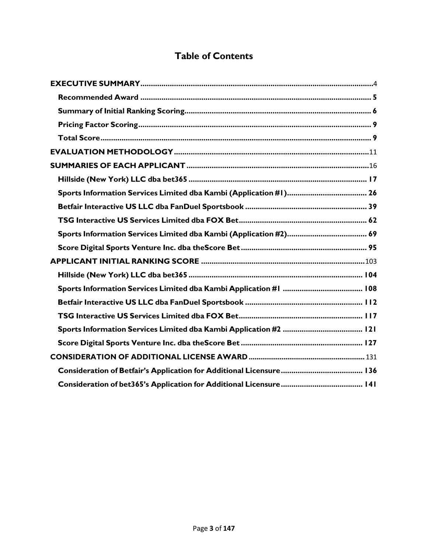# **Table of Contents**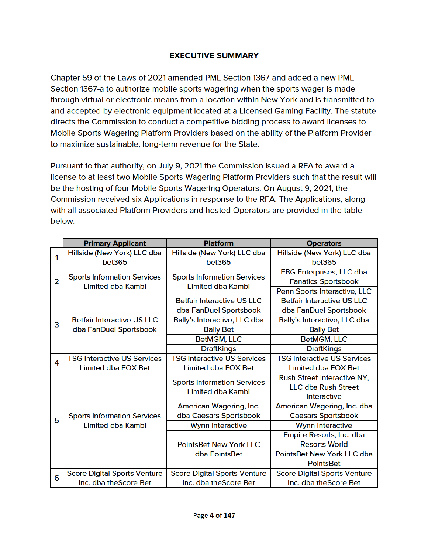#### **EXECUTIVE SUMMARY**

Chapter 59 of the Laws of 2021 amended PML Section 1367 and added a new PML Section 1367-a to authorize mobile sports wagering when the sports wager is made through virtual or electronic means from a location within New York and is transmitted to and accepted by electronic equipment located at a Licensed Gaming Facility. The statute directs the Commission to conduct a competitive bidding process to award licenses to Mobile Sports Wagering Platform Providers based on the ability of the Platform Provider to maximize sustainable, long-term revenue for the State.

Pursuant to that authority, on July 9, 2021 the Commission issued a RFA to award a license to at least two Mobile Sports Wagering Platform Providers such that the result will be the hosting of four Mobile Sports Wagering Operators. On August 9, 2021, the Commission received six Applications in response to the RFA. The Applications, along with all associated Platform Providers and hosted Operators are provided in the table below:

|                | <b>Primary Applicant</b>                                       | <b>Platform</b>                                                | <b>Operators</b>                                                                            |
|----------------|----------------------------------------------------------------|----------------------------------------------------------------|---------------------------------------------------------------------------------------------|
| 1              | Hillside (New York) LLC dba<br><b>bet365</b>                   | Hillside (New York) LLC dba<br><b>bet365</b>                   | Hillside (New York) LLC dba<br><b>bet365</b>                                                |
| $\overline{2}$ | <b>Sports Information Services</b><br><b>Limited dba Kambi</b> | <b>Sports Information Services</b><br>Limited dba Kambi        | FBG Enterprises, LLC dba<br><b>Fanatics Sportsbook</b>                                      |
| 3              | <b>Betfair Interactive US LLC</b><br>dba FanDuel Sportsbook    | <b>Betfair Interactive US LLC</b><br>dba FanDuel Sportsbook    | Penn Sports Interactive, LLC<br><b>Betfair Interactive US LLC</b><br>dba FanDuel Sportsbook |
|                |                                                                | Bally's Interactive, LLC dba<br><b>Bally Bet</b>               | Bally's Interactive, LLC dba<br><b>Bally Bet</b>                                            |
|                |                                                                | BetMGM, LLC                                                    | <b>BetMGM, LLC</b>                                                                          |
|                |                                                                | <b>DraftKings</b>                                              | <b>DraftKings</b>                                                                           |
| 4              | <b>TSG Interactive US Services</b>                             | <b>TSG Interactive US Services</b>                             | <b>TSG Interactive US Services</b>                                                          |
|                | Limited dba FOX Bet                                            | Limited dba FOX Bet                                            | Limited dba FOX Bet                                                                         |
| 5              | <b>Sports Information Services</b><br>Limited dba Kambi        | <b>Sports Information Services</b><br><b>Limited dba Kambi</b> | Rush Street Interactive NY,<br><b>LLC dba Rush Street</b><br>Interactive                    |
|                |                                                                | American Wagering, Inc.<br>dba Caesars Sportsbook              | American Wagering, Inc. dba<br><b>Caesars Sportsbook</b>                                    |
|                |                                                                | Wynn Interactive                                               | <b>Wynn Interactive</b>                                                                     |
|                |                                                                | <b>PointsBet New York LLC</b>                                  | Empire Resorts, Inc. dba<br><b>Resorts World</b>                                            |
|                |                                                                | dba PointsBet                                                  | PointsBet New York LLC dba<br><b>PointsBet</b>                                              |
| 6              | <b>Score Digital Sports Venture</b><br>Inc. dba the Score Bet  | <b>Score Digital Sports Venture</b><br>Inc. dba the Score Bet  | <b>Score Digital Sports Venture</b><br>Inc. dba the Score Bet                               |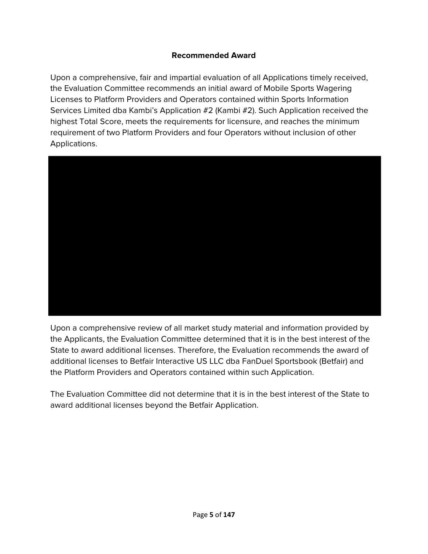#### **Recommended Award**

Upon a comprehensive, fair and impartial evaluation of all Applications timely received, the Evaluation Committee recommends an initial award of Mobile Sports Wagering Licenses to Platform Providers and Operators contained within Sports Information Services Limited dba Kambi's Application #2 (Kambi #2). Such Application received the highest Total Score, meets the requirements for licensure, and reaches the minimum requirement of two Platform Providers and four Operators without inclusion of other Applications.



Upon a comprehensive review of all market study material and information provided by the Applicants, the Evaluation Committee determined that it is in the best interest of the State to award additional licenses. Therefore, the Evaluation recommends the award of additional licenses to Betfair Interactive US LLC dba FanDuel Sportsbook (Betfair) and the Platform Providers and Operators contained within such Application.

The Evaluation Committee did not determine that it is in the best interest of the State to award additional licenses beyond the Betfair Application.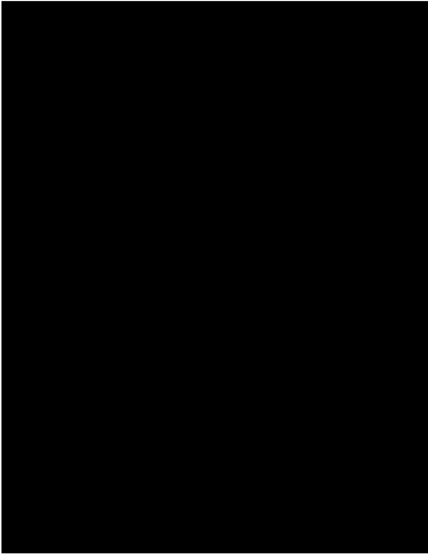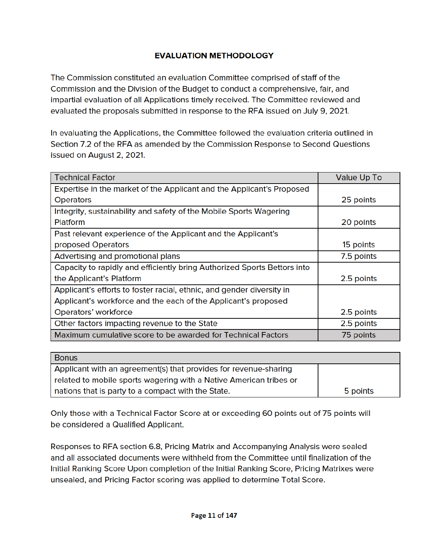#### **EVALUATION METHODOLOGY**

The Commission constituted an evaluation Committee comprised of staff of the Commission and the Division of the Budget to conduct a comprehensive, fair, and impartial evaluation of all Applications timely received. The Committee reviewed and evaluated the proposals submitted in response to the RFA issued on July 9, 2021.

In evaluating the Applications, the Committee followed the evaluation criteria outlined in Section 7.2 of the RFA as amended by the Commission Response to Second Questions issued on August 2, 2021.

| <b>Technical Factor</b>                                                  | Value Up To |
|--------------------------------------------------------------------------|-------------|
| Expertise in the market of the Applicant and the Applicant's Proposed    |             |
| <b>Operators</b>                                                         | 25 points   |
| Integrity, sustainability and safety of the Mobile Sports Wagering       |             |
| <b>Platform</b>                                                          | 20 points   |
| Past relevant experience of the Applicant and the Applicant's            |             |
| proposed Operators                                                       | 15 points   |
| Advertising and promotional plans                                        | 7.5 points  |
| Capacity to rapidly and efficiently bring Authorized Sports Bettors into |             |
| the Applicant's Platform                                                 | 2.5 points  |
| Applicant's efforts to foster racial, ethnic, and gender diversity in    |             |
| Applicant's workforce and the each of the Applicant's proposed           |             |
| Operators' workforce                                                     | 2.5 points  |
| Other factors impacting revenue to the State                             | 2.5 points  |
| Maximum cumulative score to be awarded for Technical Factors             | 75 points   |

| <b>Bonus</b>                                                       |          |  |  |  |  |
|--------------------------------------------------------------------|----------|--|--|--|--|
| Applicant with an agreement(s) that provides for revenue-sharing   |          |  |  |  |  |
| related to mobile sports wagering with a Native American tribes or |          |  |  |  |  |
| nations that is party to a compact with the State.                 | 5 points |  |  |  |  |

Only those with a Technical Factor Score at or exceeding 60 points out of 75 points will be considered a Qualified Applicant.

Responses to RFA section 6.8, Pricing Matrix and Accompanying Analysis were sealed and all associated documents were withheld from the Committee until finalization of the Initial Ranking Score Upon completion of the Initial Ranking Score, Pricing Matrixes were unsealed, and Pricing Factor scoring was applied to determine Total Score.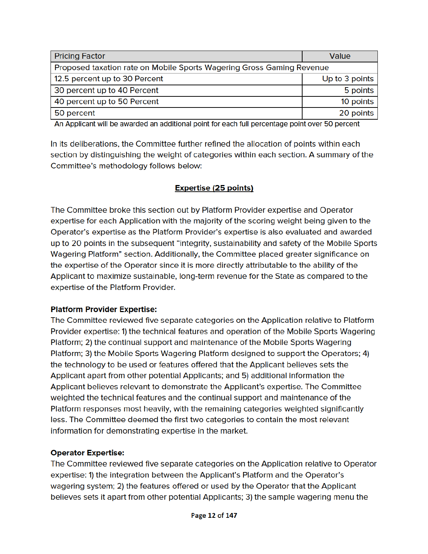| <b>Pricing Factor</b>                                                 | Value          |  |  |  |
|-----------------------------------------------------------------------|----------------|--|--|--|
| Proposed taxation rate on Mobile Sports Wagering Gross Gaming Revenue |                |  |  |  |
| 12.5 percent up to 30 Percent                                         | Up to 3 points |  |  |  |
| 30 percent up to 40 Percent                                           | 5 points       |  |  |  |
| 40 percent up to 50 Percent                                           | 10 points      |  |  |  |
| 50 percent                                                            | 20 points      |  |  |  |

An Applicant will be awarded an additional point for each full percentage point over 50 percent

In its deliberations, the Committee further refined the allocation of points within each section by distinguishing the weight of categories within each section. A summary of the Committee's methodology follows below:

### **Expertise (25 points)**

The Committee broke this section out by Platform Provider expertise and Operator expertise for each Application with the majority of the scoring weight being given to the Operator's expertise as the Platform Provider's expertise is also evaluated and awarded up to 20 points in the subsequent "integrity, sustainability and safety of the Mobile Sports Wagering Platform" section. Additionally, the Committee placed greater significance on the expertise of the Operator since it is more directly attributable to the ability of the Applicant to maximize sustainable, long-term revenue for the State as compared to the expertise of the Platform Provider.

#### **Platform Provider Expertise:**

The Committee reviewed five separate categories on the Application relative to Platform Provider expertise: 1) the technical features and operation of the Mobile Sports Wagering Platform; 2) the continual support and maintenance of the Mobile Sports Wagering Platform; 3) the Mobile Sports Wagering Platform designed to support the Operators; 4) the technology to be used or features offered that the Applicant believes sets the Applicant apart from other potential Applicants; and 5) additional information the Applicant believes relevant to demonstrate the Applicant's expertise. The Committee weighted the technical features and the continual support and maintenance of the Platform responses most heavily, with the remaining categories weighted significantly less. The Committee deemed the first two categories to contain the most relevant information for demonstrating expertise in the market.

#### **Operator Expertise:**

The Committee reviewed five separate categories on the Application relative to Operator expertise: 1) the integration between the Applicant's Platform and the Operator's wagering system; 2) the features offered or used by the Operator that the Applicant believes sets it apart from other potential Applicants; 3) the sample wagering menu the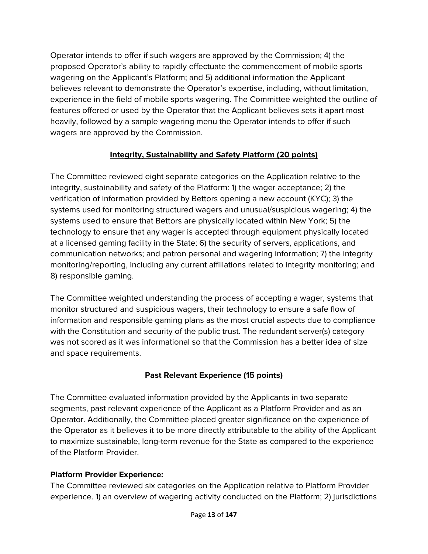Operator intends to offer if such wagers are approved by the Commission; 4) the proposed Operator's ability to rapidly effectuate the commencement of mobile sports wagering on the Applicant's Platform; and 5) additional information the Applicant believes relevant to demonstrate the Operator's expertise, including, without limitation, experience in the field of mobile sports wagering. The Committee weighted the outline of features offered or used by the Operator that the Applicant believes sets it apart most heavily, followed by a sample wagering menu the Operator intends to offer if such wagers are approved by the Commission.

### **Integrity, Sustainability and Safety Platform (20 points)**

The Committee reviewed eight separate categories on the Application relative to the integrity, sustainability and safety of the Platform: 1) the wager acceptance; 2) the verification of information provided by Bettors opening a new account (KYC); 3) the systems used for monitoring structured wagers and unusual/suspicious wagering; 4) the systems used to ensure that Bettors are physically located within New York; 5) the technology to ensure that any wager is accepted through equipment physically located at a licensed gaming facility in the State; 6) the security of servers, applications, and communication networks; and patron personal and wagering information; 7) the integrity monitoring/reporting, including any current affiliations related to integrity monitoring; and 8) responsible gaming.

The Committee weighted understanding the process of accepting a wager, systems that monitor structured and suspicious wagers, their technology to ensure a safe flow of information and responsible gaming plans as the most crucial aspects due to compliance with the Constitution and security of the public trust. The redundant server(s) category was not scored as it was informational so that the Commission has a better idea of size and space requirements.

### **Past Relevant Experience (15 points)**

The Committee evaluated information provided by the Applicants in two separate segments, past relevant experience of the Applicant as a Platform Provider and as an Operator. Additionally, the Committee placed greater significance on the experience of the Operator as it believes it to be more directly attributable to the ability of the Applicant to maximize sustainable, long-term revenue for the State as compared to the experience of the Platform Provider.

#### **Platform Provider Experience:**

The Committee reviewed six categories on the Application relative to Platform Provider experience. 1) an overview of wagering activity conducted on the Platform; 2) jurisdictions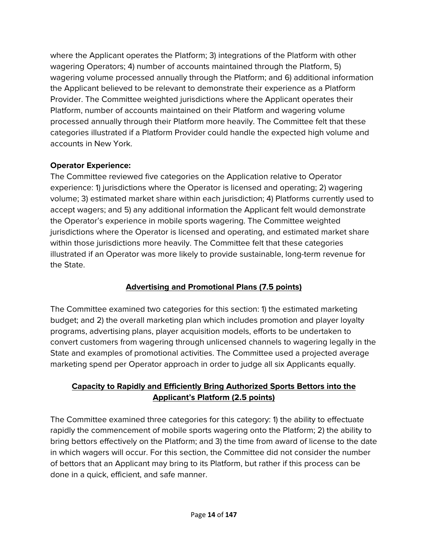where the Applicant operates the Platform; 3) integrations of the Platform with other wagering Operators; 4) number of accounts maintained through the Platform, 5) wagering volume processed annually through the Platform; and 6) additional information the Applicant believed to be relevant to demonstrate their experience as a Platform Provider. The Committee weighted jurisdictions where the Applicant operates their Platform, number of accounts maintained on their Platform and wagering volume processed annually through their Platform more heavily. The Committee felt that these categories illustrated if a Platform Provider could handle the expected high volume and accounts in New York.

### **Operator Experience:**

The Committee reviewed five categories on the Application relative to Operator experience: 1) jurisdictions where the Operator is licensed and operating; 2) wagering volume; 3) estimated market share within each jurisdiction; 4) Platforms currently used to accept wagers; and 5) any additional information the Applicant felt would demonstrate the Operator's experience in mobile sports wagering. The Committee weighted jurisdictions where the Operator is licensed and operating, and estimated market share within those jurisdictions more heavily. The Committee felt that these categories illustrated if an Operator was more likely to provide sustainable, long-term revenue for the State.

## **Advertising and Promotional Plans (7.5 points)**

The Committee examined two categories for this section: 1) the estimated marketing budget; and 2) the overall marketing plan which includes promotion and player loyalty programs, advertising plans, player acquisition models, efforts to be undertaken to convert customers from wagering through unlicensed channels to wagering legally in the State and examples of promotional activities. The Committee used a projected average marketing spend per Operator approach in order to judge all six Applicants equally.

### **Capacity to Rapidly and Efficiently Bring Authorized Sports Bettors into the Applicant's Platform (2.5 points)**

The Committee examined three categories for this category: 1) the ability to effectuate rapidly the commencement of mobile sports wagering onto the Platform; 2) the ability to bring bettors effectively on the Platform; and 3) the time from award of license to the date in which wagers will occur. For this section, the Committee did not consider the number of bettors that an Applicant may bring to its Platform, but rather if this process can be done in a quick, efficient, and safe manner.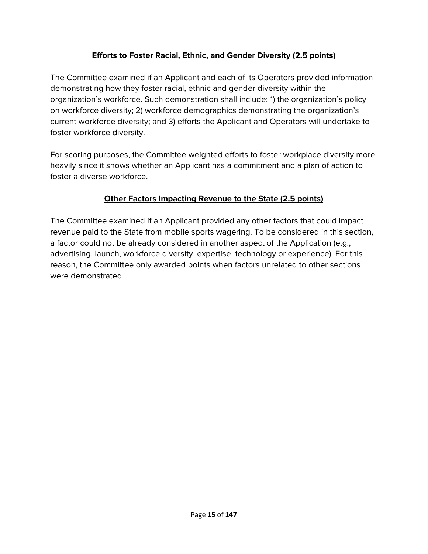### **Efforts to Foster Racial, Ethnic, and Gender Diversity (2.5 points)**

The Committee examined if an Applicant and each of its Operators provided information demonstrating how they foster racial, ethnic and gender diversity within the organization's workforce. Such demonstration shall include: 1) the organization's policy on workforce diversity; 2) workforce demographics demonstrating the organization's current workforce diversity; and 3) efforts the Applicant and Operators will undertake to foster workforce diversity.

For scoring purposes, the Committee weighted efforts to foster workplace diversity more heavily since it shows whether an Applicant has a commitment and a plan of action to foster a diverse workforce.

### **Other Factors Impacting Revenue to the State (2.5 points)**

The Committee examined if an Applicant provided any other factors that could impact revenue paid to the State from mobile sports wagering. To be considered in this section, a factor could not be already considered in another aspect of the Application (e.g., advertising, launch, workforce diversity, expertise, technology or experience). For this reason, the Committee only awarded points when factors unrelated to other sections were demonstrated.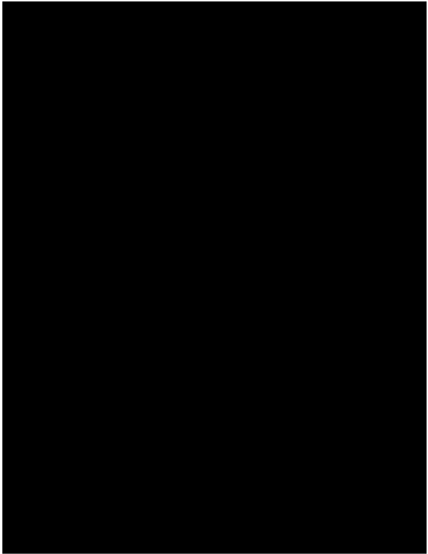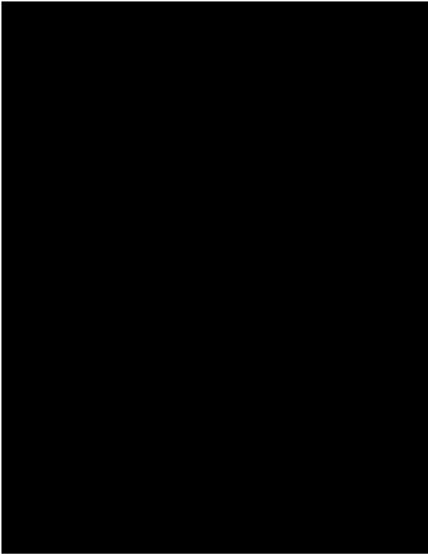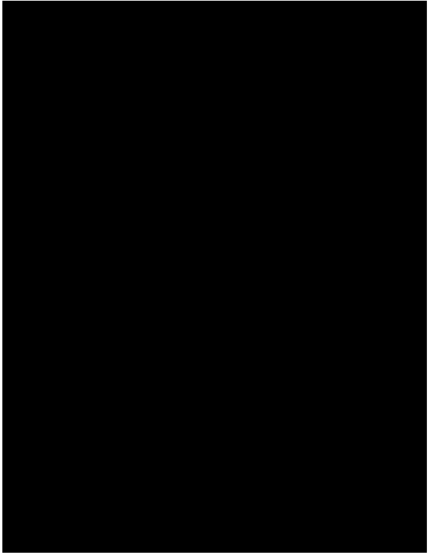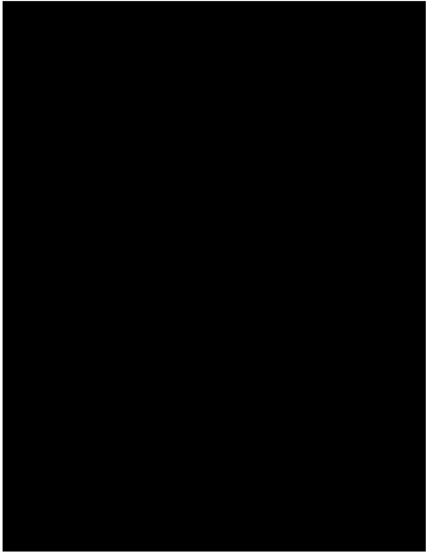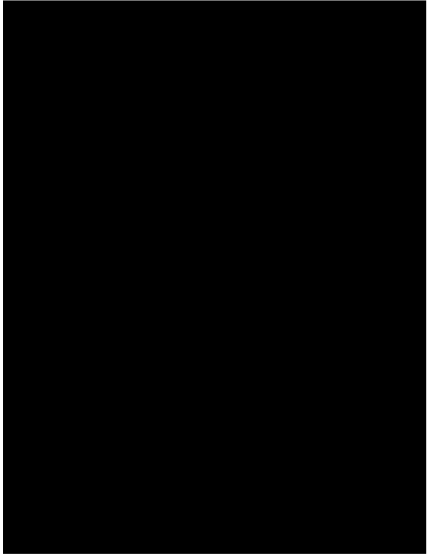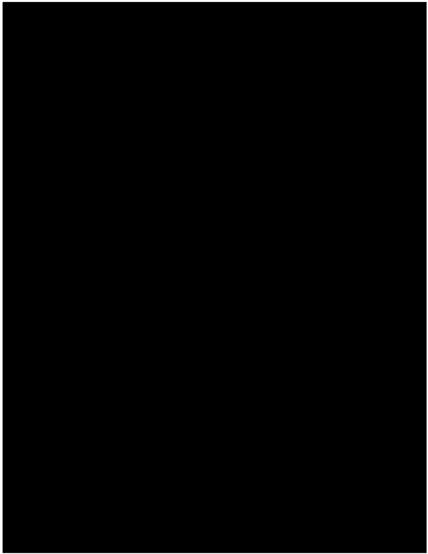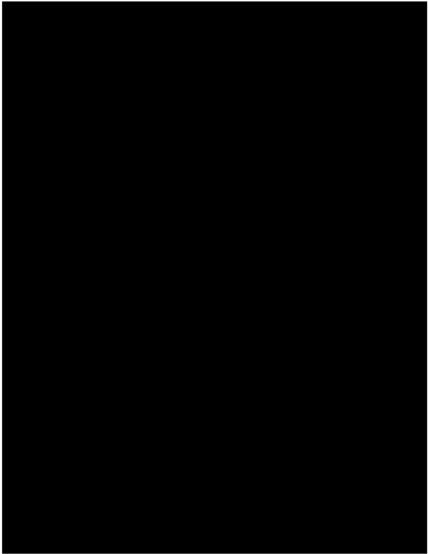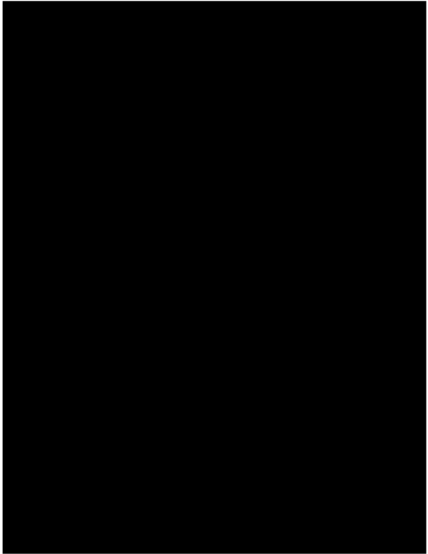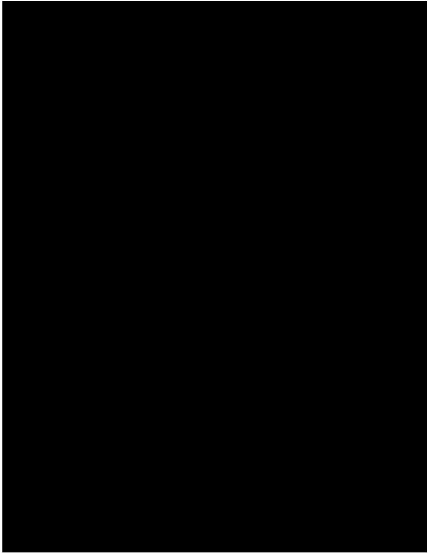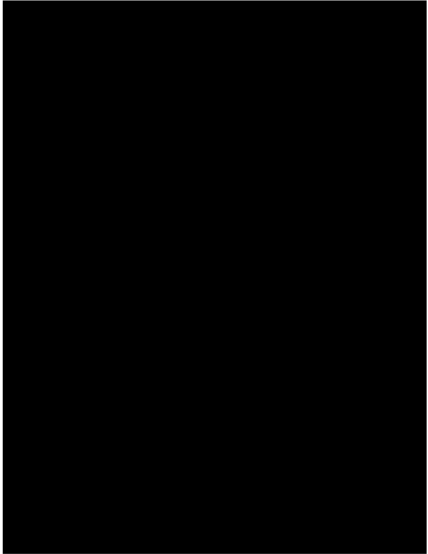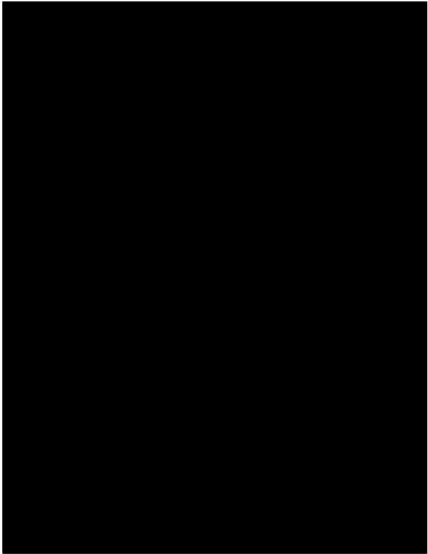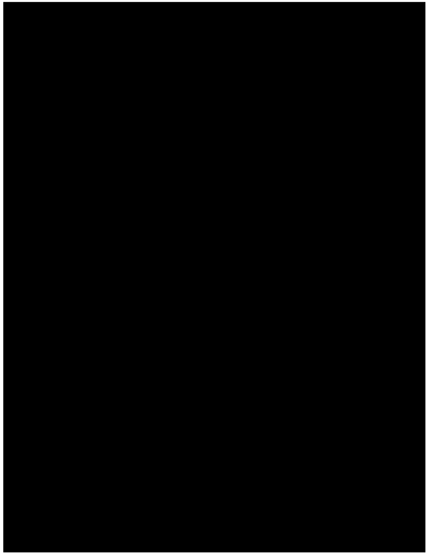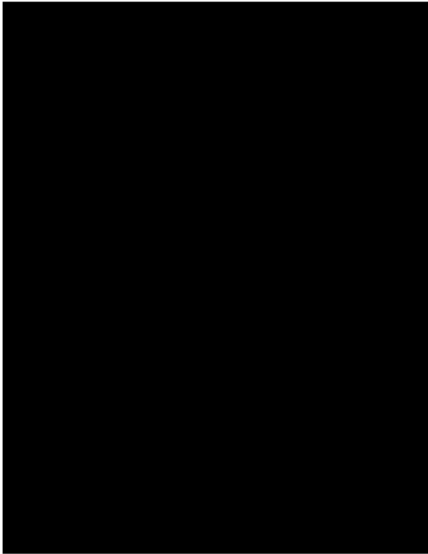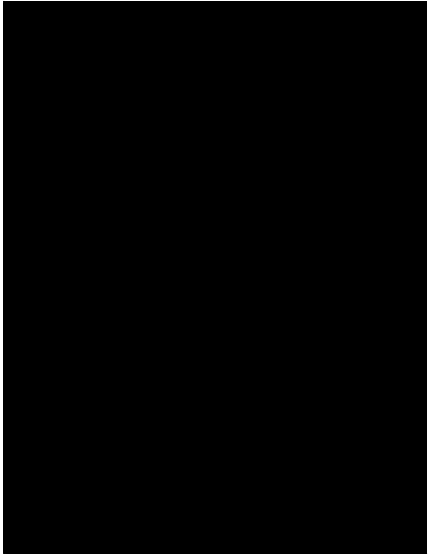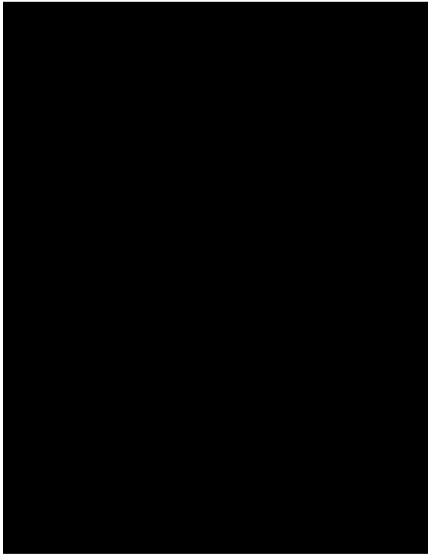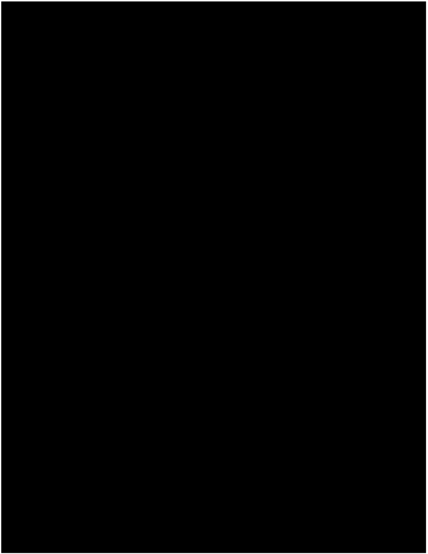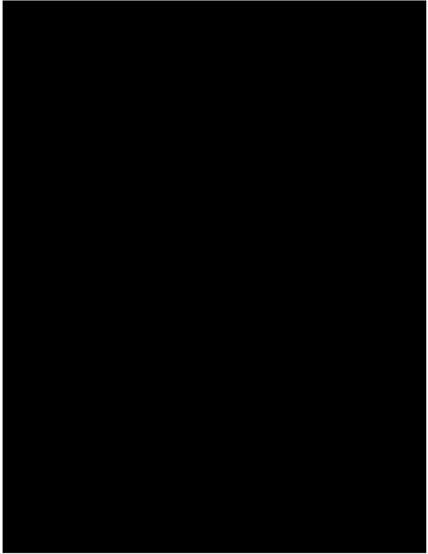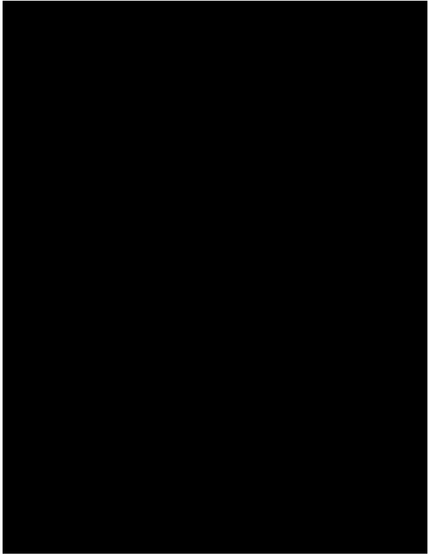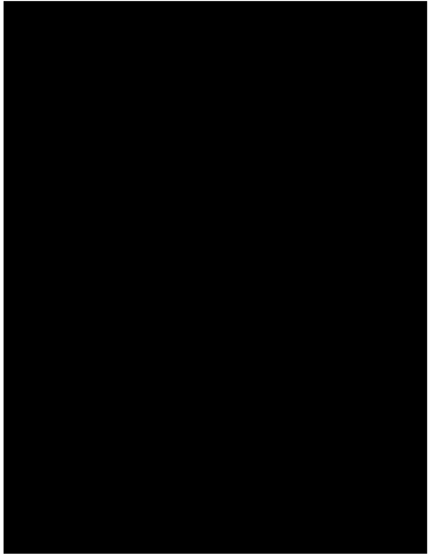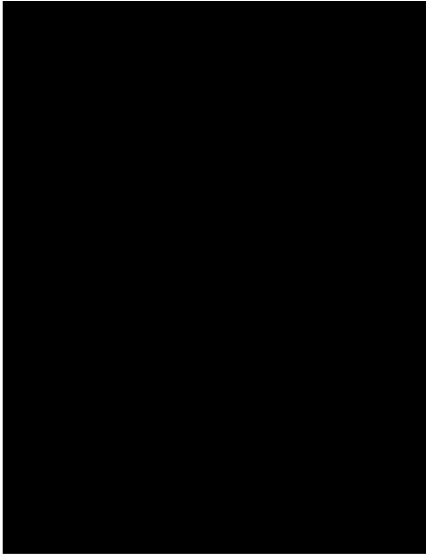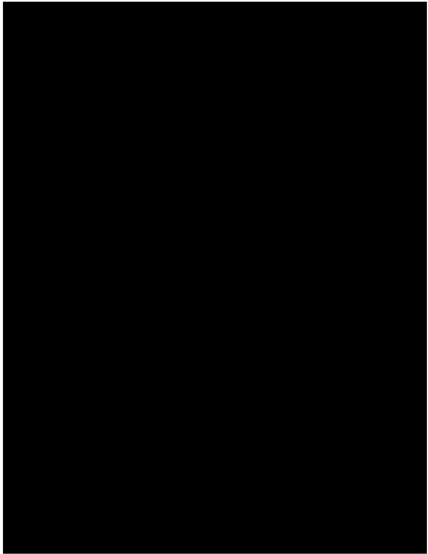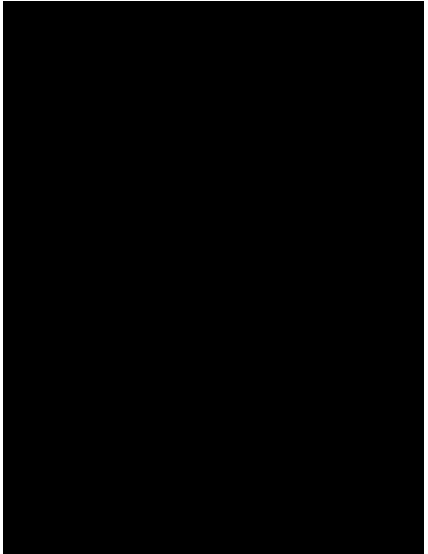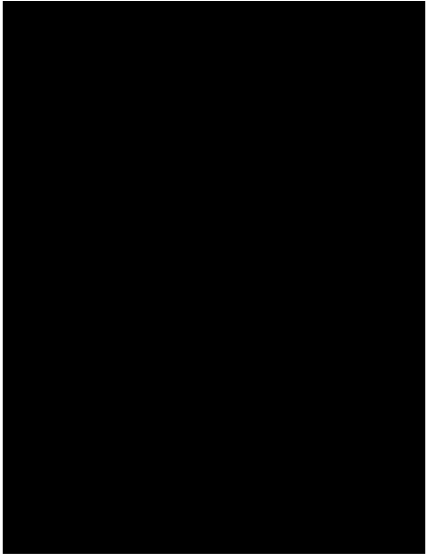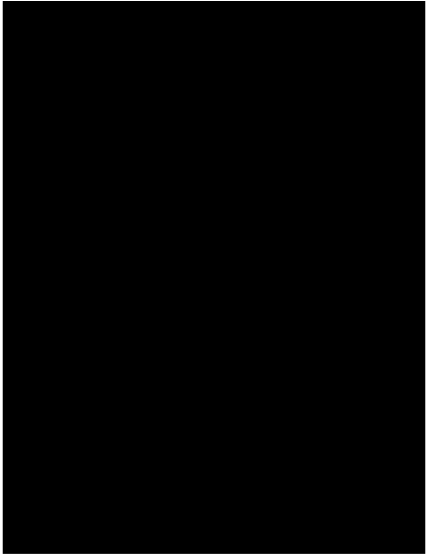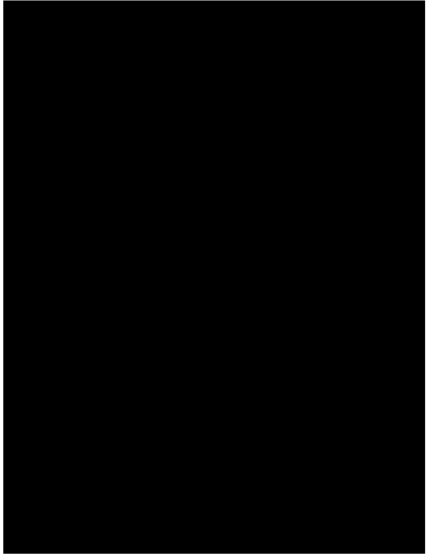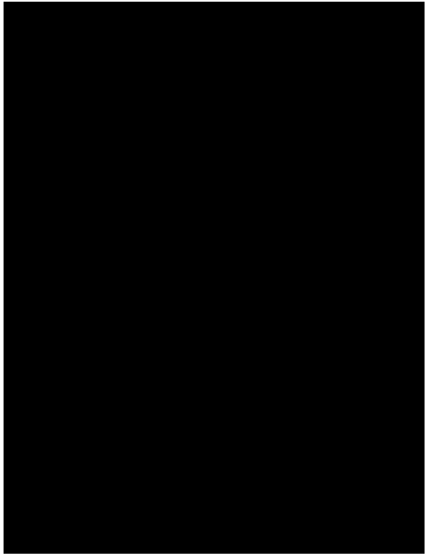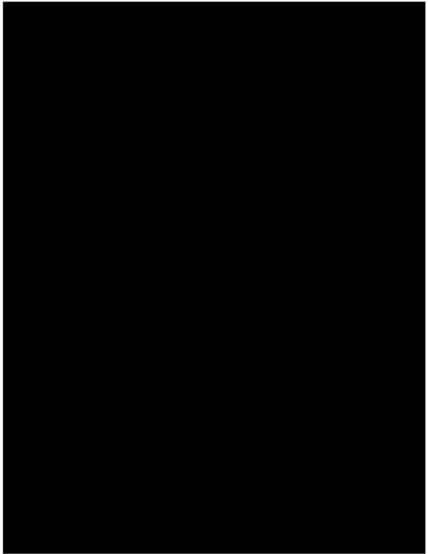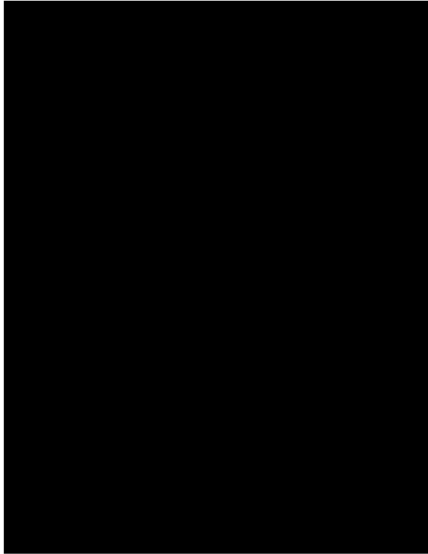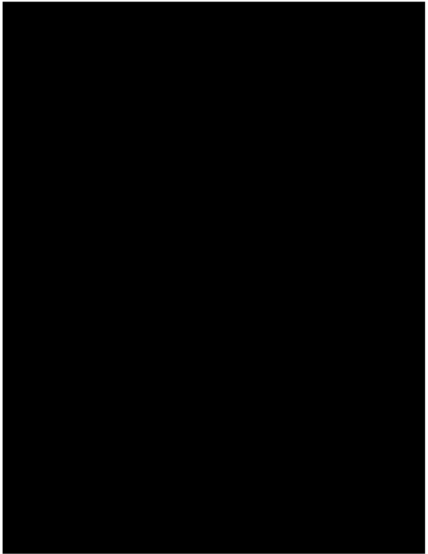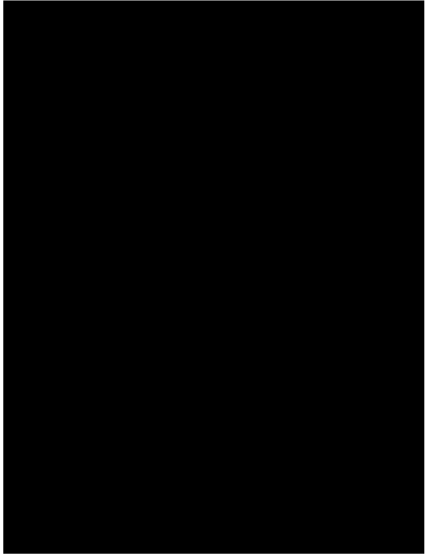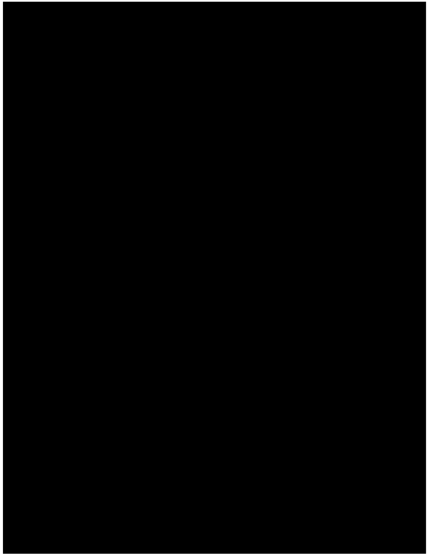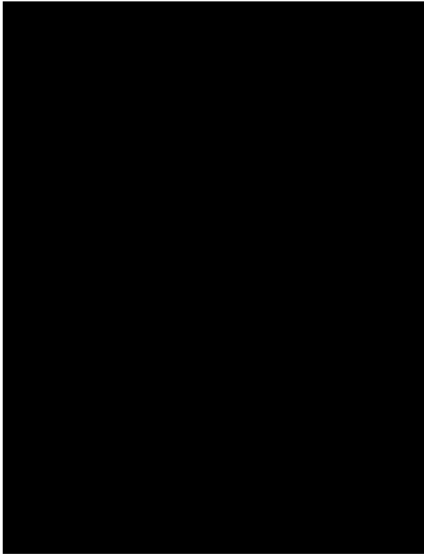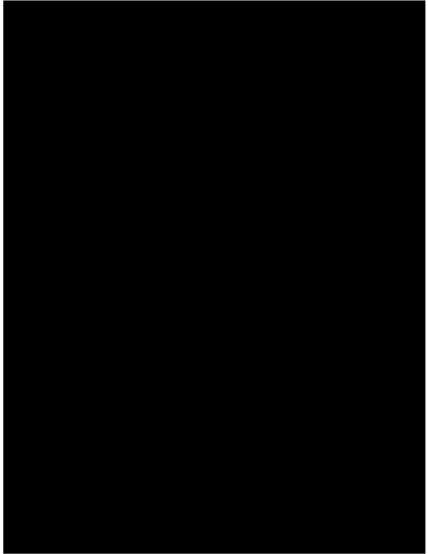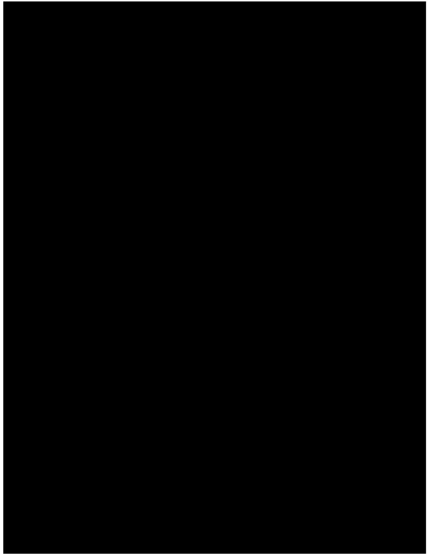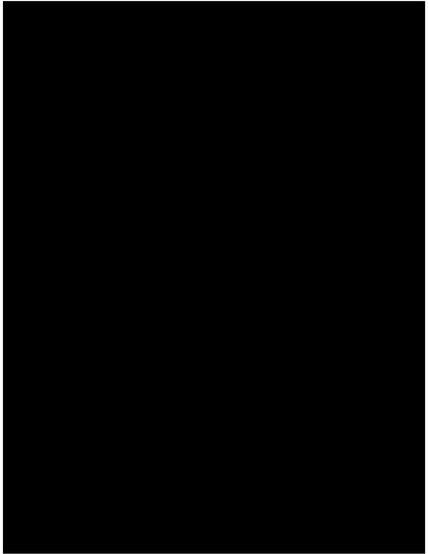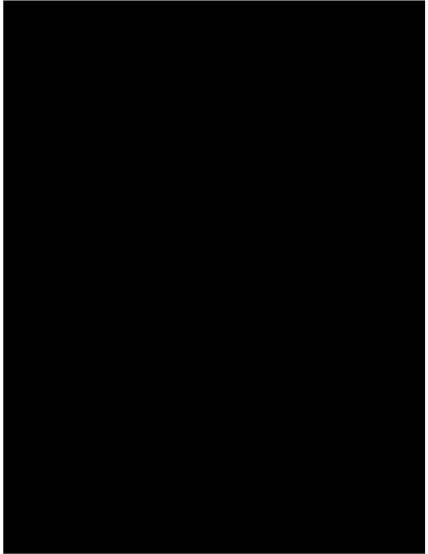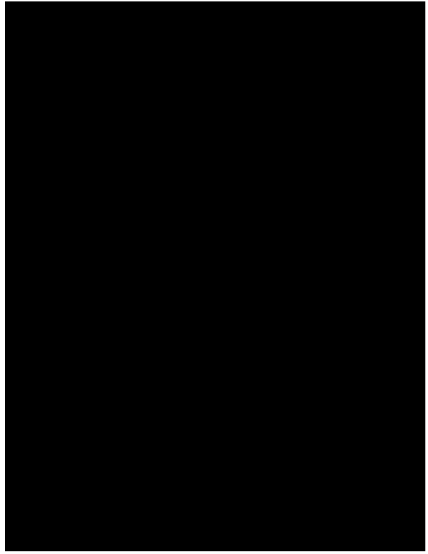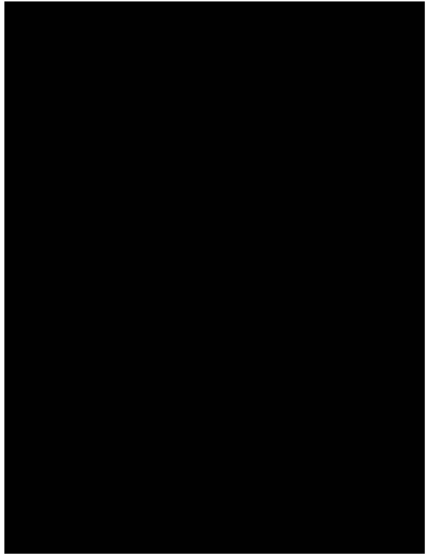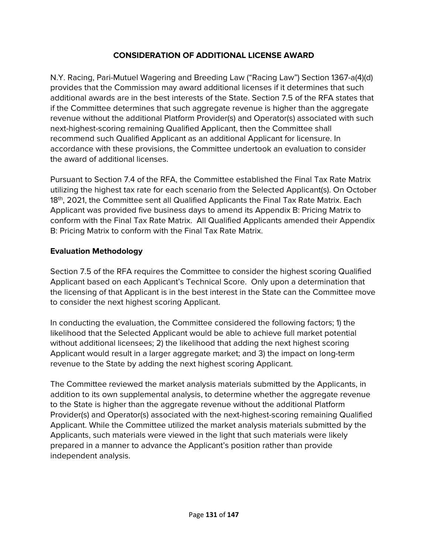## **CONSIDERATION OF ADDITIONAL LICENSE AWARD**

N.Y. Racing, Pari-Mutuel Wagering and Breeding Law ("Racing Law") Section 1367-a(4)(d) provides that the Commission may award additional licenses if it determines that such additional awards are in the best interests of the State. Section 7.5 of the RFA states that if the Committee determines that such aggregate revenue is higher than the aggregate revenue without the additional Platform Provider(s) and Operator(s) associated with such next-highest-scoring remaining Qualified Applicant, then the Committee shall recommend such Qualified Applicant as an additional Applicant for licensure. In accordance with these provisions, the Committee undertook an evaluation to consider the award of additional licenses.

Pursuant to Section 7.4 of the RFA, the Committee established the Final Tax Rate Matrix utilizing the highest tax rate for each scenario from the Selected Applicant(s). On October 18<sup>th</sup>, 2021, the Committee sent all Qualified Applicants the Final Tax Rate Matrix. Each Applicant was provided five business days to amend its Appendix B: Pricing Matrix to conform with the Final Tax Rate Matrix. All Qualified Applicants amended their Appendix B: Pricing Matrix to conform with the Final Tax Rate Matrix.

## **Evaluation Methodology**

Section 7.5 of the RFA requires the Committee to consider the highest scoring Qualified Applicant based on each Applicant's Technical Score. Only upon a determination that the licensing of that Applicant is in the best interest in the State can the Committee move to consider the next highest scoring Applicant.

In conducting the evaluation, the Committee considered the following factors; 1) the likelihood that the Selected Applicant would be able to achieve full market potential without additional licensees; 2) the likelihood that adding the next highest scoring Applicant would result in a larger aggregate market; and 3) the impact on long-term revenue to the State by adding the next highest scoring Applicant.

The Committee reviewed the market analysis materials submitted by the Applicants, in addition to its own supplemental analysis, to determine whether the aggregate revenue to the State is higher than the aggregate revenue without the additional Platform Provider(s) and Operator(s) associated with the next-highest-scoring remaining Qualified Applicant. While the Committee utilized the market analysis materials submitted by the Applicants, such materials were viewed in the light that such materials were likely prepared in a manner to advance the Applicant's position rather than provide independent analysis.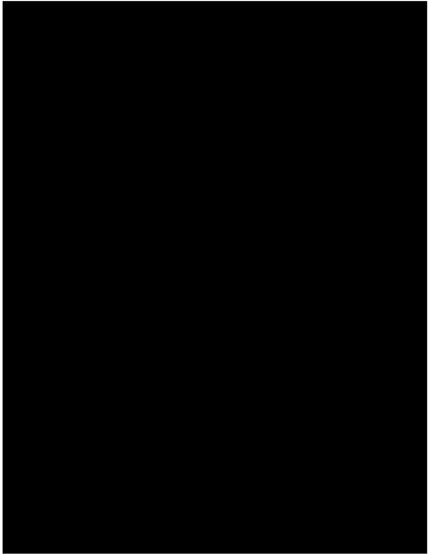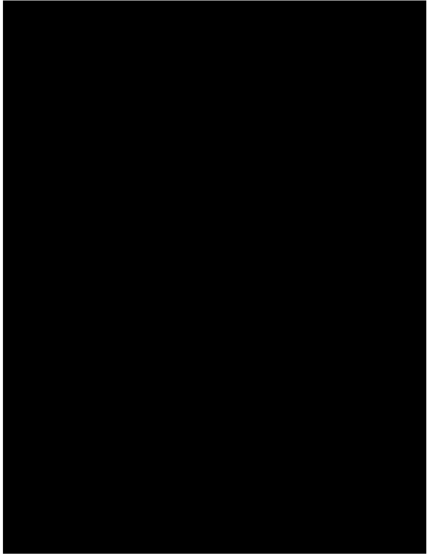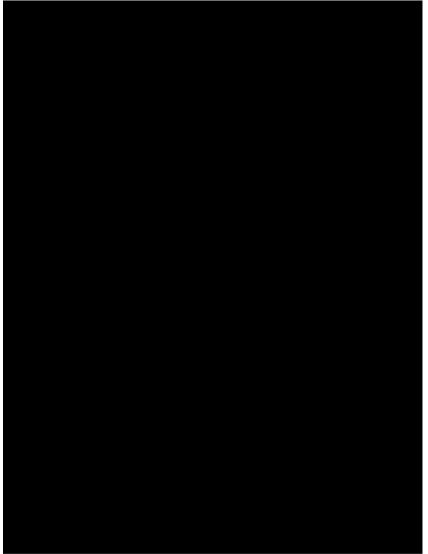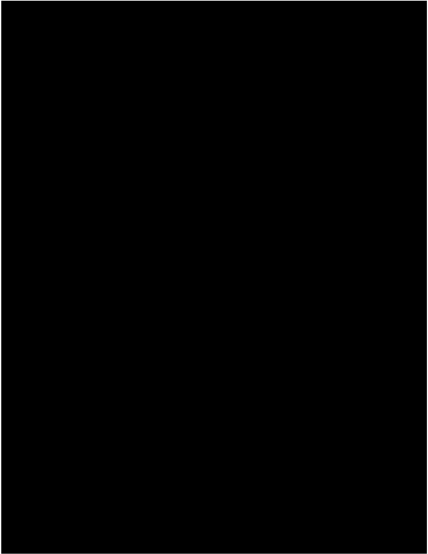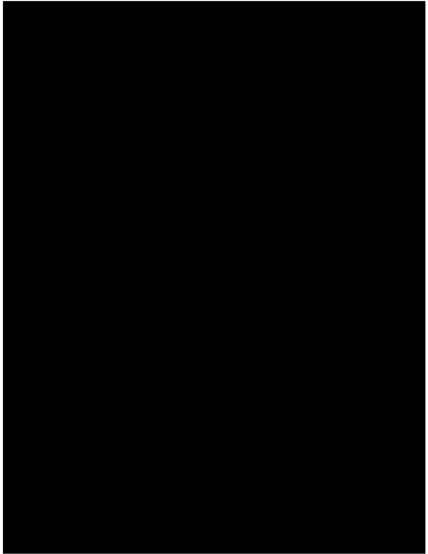